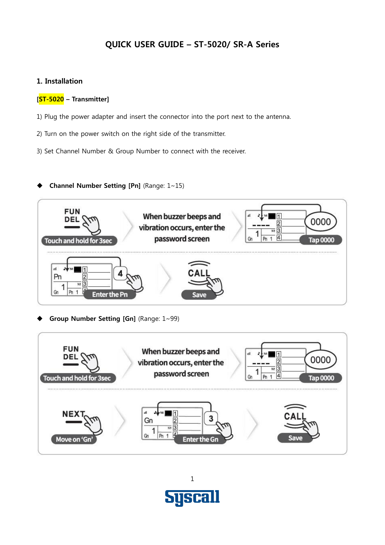# **QUICK USER GUIDE – ST-5020/ SR-A Series**

### **1. Installation**

#### **[ST-5020 – Transmitter]**

- 1) Plug the power adapter and insert the connector into the port next to the antenna.
- 2) Turn on the power switch on the right side of the transmitter.
- 3) Set Channel Number & Group Number to connect with the receiver.

### **Channel Number Setting [Pn]** (Range: 1~15)



**Group Number Setting [Gn]** (Range: 1~99)



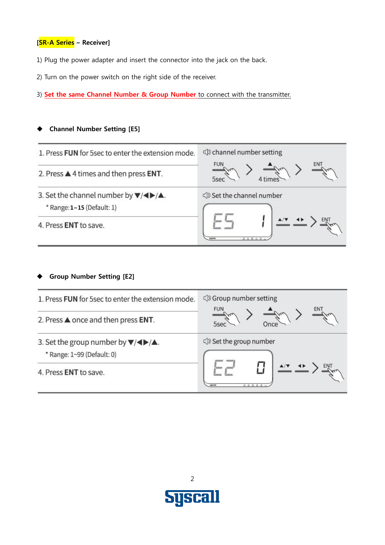#### **[SR-A Series – Receiver]**

- 1) Plug the power adapter and insert the connector into the jack on the back.
- 2) Turn on the power switch on the right side of the receiver.
- 3) **Set the same Channel Number & Group Number** to connect with the transmitter.

#### **Channel Number Setting [E5]**

| 1. Press FUN for 5sec to enter the extension mode.                                               | contained number setting |  |  |
|--------------------------------------------------------------------------------------------------|--------------------------|--|--|
| 2. Press $\triangle$ 4 times and then press ENT.                                                 | <b>FUN</b>               |  |  |
| 3. Set the channel number by $\blacktriangledown/\blacktriangle$ .<br>* Range: 1-15 (Default: 1) | Set the channel number   |  |  |
| 4. Press ENT to save.                                                                            | SHOWLE                   |  |  |

#### **Group Number Setting [E2]**

| 1. Press FUN for 5 sec to enter the extension mode.                                            | <b>CD</b> Group number setting        |
|------------------------------------------------------------------------------------------------|---------------------------------------|
| 2. Press ▲ once and then press ENT.                                                            | <b>FUN</b>                            |
| 3. Set the group number by $\blacktriangledown/\blacktriangle$ .<br>* Range: 1~99 (Default: 0) | Set the group number                  |
| 4. Press ENT to save.                                                                          | <b>SWOLE</b><br><b>B. B. B. B. B.</b> |

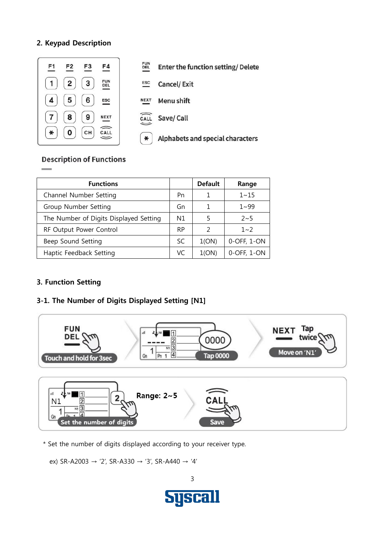### **2. Keypad Description**



**FUN<br>DEL Enter the function setting/Delete** 

 $_{\tt ESC}$ **Cancel/Exit** 

**NEXT Menu shift** 

Save/Call CALL

 $\ast$ Alphabets and special characters

## **Description of Functions**

| <b>Functions</b>                       |           | <b>Default</b> | Range       |
|----------------------------------------|-----------|----------------|-------------|
| Channel Number Setting                 | Pn        |                | $1 - 15$    |
| Group Number Setting                   | Gn        | 1              | $1 - 99$    |
| The Number of Digits Displayed Setting | N1        |                | $2 - 5$     |
| RF Output Power Control                | <b>RP</b> | フ              | $1 - 2$     |
| Beep Sound Setting                     | SC        | 1(ON)          | 0-OFF, 1-ON |
| Haptic Feedback Setting                | VC        | 1(ON)          | 0-OFF, 1-ON |

# **3. Function Setting**

# **3-1. The Number of Digits Displayed Setting [N1]**



 $\overline{3}$  $N<sub>1</sub>$ 1 Z Gn Set the number of digits Save

\* Set the number of digits displayed according to your receiver type.

ex) SR-A2003 → '2', SR-A330 → '3', SR-A440 → '4'